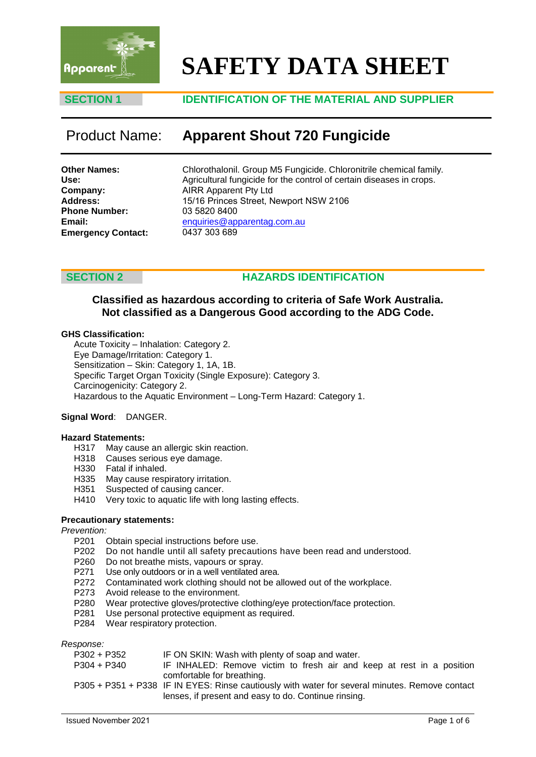

# **SAFETY DATA SHEET**

### **SECTION 1 IDENTIFICATION OF THE MATERIAL AND SUPPLIER**

## Product Name: **Apparent Shout 720 Fungicide**

**Other Names: Use: Company: Address: Phone Number: Email: Emergency Contact:** Chlorothalonil. Group M5 Fungicide. Chloronitrile chemical family. Agricultural fungicide for the control of certain diseases in crops. AIRR Apparent Pty Ltd 15/16 Princes Street, Newport NSW 2106 03 5820 8400 enquiries@apparentag.com.au [0437 303 689](mailto:enquiries@apparentag.com.au)

### **SECTION 2 HAZARDS IDENTIFICATION**

### **Classified as hazardous according to criteria of Safe Work Australia. Not classified as a Dangerous Good according to the ADG Code.**

### **GHS Classification:**

Acute Toxicity – Inhalation: Category 2. Eye Damage/Irritation: Category 1. Sensitization – Skin: Category 1, 1A, 1B. Specific Target Organ Toxicity (Single Exposure): Category 3. Carcinogenicity: Category 2. Hazardous to the Aquatic Environment – Long-Term Hazard: Category 1.

#### **Signal Word**: DANGER.

#### **Hazard Statements:**

- H317 May cause an allergic skin reaction.
- H318 Causes serious eye damage.
- H330 Fatal if inhaled.
- H335 May cause respiratory irritation.
- H351 Suspected of causing cancer.
- H410 Very toxic to aquatic life with long lasting effects.

#### **Precautionary statements:**

# *Prevention:*

- Obtain special instructions before use.
- P202 Do not handle until all safety precautions have been read and understood.
- P260 Do not breathe mists, vapours or spray.
- P271 Use only outdoors or in a well ventilated area.
- P272 Contaminated work clothing should not be allowed out of the workplace.
- P273 Avoid release to the environment.
- P280 Wear protective gloves/protective clothing/eye protection/face protection.
- P281 Use personal protective equipment as required.<br>P284 Wear respiratory protection.
- Wear respiratory protection.

*Response:*

| -------       |                                                                                                                                                        |
|---------------|--------------------------------------------------------------------------------------------------------------------------------------------------------|
| $P302 + P352$ | IF ON SKIN: Wash with plenty of soap and water.                                                                                                        |
| $P304 + P340$ | IF INHALED: Remove victim to fresh air and keep at rest in a position<br>comfortable for breathing.                                                    |
|               | P305 + P351 + P338 IF IN EYES: Rinse cautiously with water for several minutes. Remove contact<br>lenses, if present and easy to do. Continue rinsing. |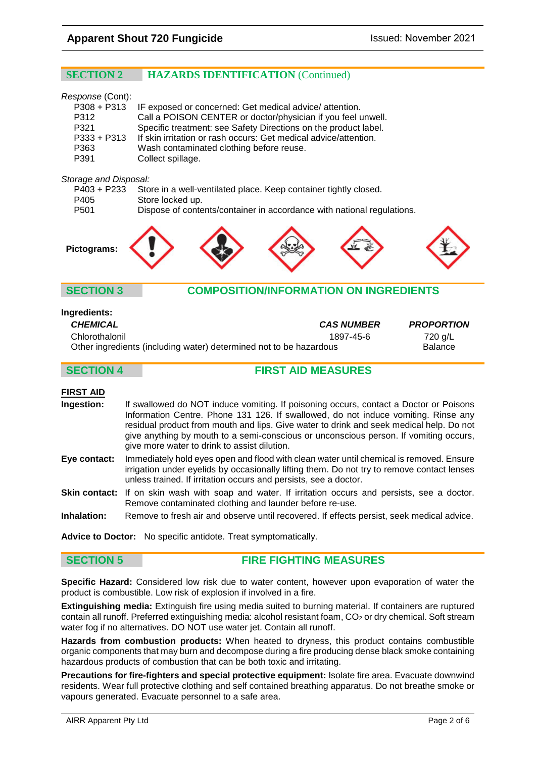### **SECTION 2 HAZARDS IDENTIFICATION** (Continued)

| Response (Cont): |                                                                  |
|------------------|------------------------------------------------------------------|
| $P308 + P313$    | IF exposed or concerned: Get medical advice/attention.           |
| P312             | Call a POISON CENTER or doctor/physician if you feel unwell.     |
| P321             | Specific treatment: see Safety Directions on the product label.  |
| $P333 + P313$    | If skin irritation or rash occurs: Get medical advice/attention. |
| P363             | Wash contaminated clothing before reuse.                         |
| P391             | Collect spillage.                                                |
|                  |                                                                  |

#### *Storage and Disposal:*

| P403 + P233      | Store in a well-ventilated place. Keep container tightly closed.       |
|------------------|------------------------------------------------------------------------|
| P405             | Store locked up.                                                       |
| P <sub>501</sub> | Dispose of contents/container in accordance with national regulations. |



### **SECTION 3 COMPOSITION/INFORMATION ON INGREDIENTS**

| <b>Ingredients:</b>                                                |                   |                   |
|--------------------------------------------------------------------|-------------------|-------------------|
| <b>CHEMICAL</b>                                                    | <b>CAS NUMBER</b> | <b>PROPORTION</b> |
| Chlorothalonil                                                     | 1897-45-6         | 720 g/L           |
| Other ingredients (including water) determined not to be hazardous |                   | <b>Balance</b>    |

### **SECTION 4 FIRST AID MEASURES**

#### **FIRST AID**

| <b>Ingestion:</b> | If swallowed do NOT induce vomiting. If poisoning occurs, contact a Doctor or Poisons   |
|-------------------|-----------------------------------------------------------------------------------------|
|                   | Information Centre. Phone 131 126. If swallowed, do not induce vomiting. Rinse any      |
|                   | residual product from mouth and lips. Give water to drink and seek medical help. Do not |
|                   | give anything by mouth to a semi-conscious or unconscious person. If vomiting occurs,   |
|                   | give more water to drink to assist dilution.                                            |

- **Eye contact:** Immediately hold eyes open and flood with clean water until chemical is removed. Ensure irrigation under eyelids by occasionally lifting them. Do not try to remove contact lenses unless trained. If irritation occurs and persists, see a doctor.
- **Skin contact:** If on skin wash with soap and water. If irritation occurs and persists, see a doctor. Remove contaminated clothing and launder before re-use.
- **Inhalation:** Remove to fresh air and observe until recovered. If effects persist, seek medical advice.

**Advice to Doctor:** No specific antidote. Treat symptomatically.

#### **SECTION 5 FIRE FIGHTING MEASURES**

**Specific Hazard:** Considered low risk due to water content, however upon evaporation of water the product is combustible. Low risk of explosion if involved in a fire.

**Extinguishing media:** Extinguish fire using media suited to burning material. If containers are ruptured contain all runoff. Preferred extinguishing media: alcohol resistant foam, CO<sub>2</sub> or dry chemical. Soft stream water fog if no alternatives. DO NOT use water jet. Contain all runoff.

**Hazards from combustion products:** When heated to dryness, this product contains combustible organic components that may burn and decompose during a fire producing dense black smoke containing hazardous products of combustion that can be both toxic and irritating.

**Precautions for fire-fighters and special protective equipment:** Isolate fire area. Evacuate downwind residents. Wear full protective clothing and self contained breathing apparatus. Do not breathe smoke or vapours generated. Evacuate personnel to a safe area.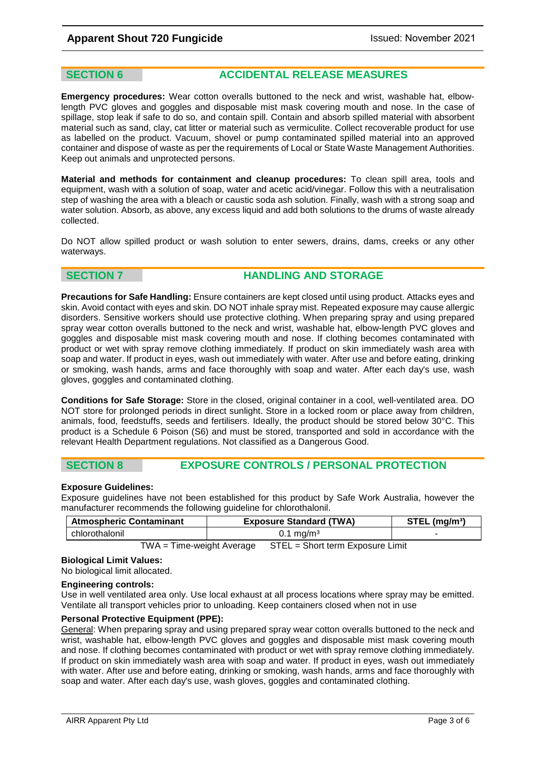**SECTION 6 ACCIDENTAL RELEASE MEASURES** 

**Emergency procedures:** Wear cotton overalls buttoned to the neck and wrist, washable hat, elbowlength PVC gloves and goggles and disposable mist mask covering mouth and nose. In the case of spillage, stop leak if safe to do so, and contain spill. Contain and absorb spilled material with absorbent material such as sand, clay, cat litter or material such as vermiculite. Collect recoverable product for use as labelled on the product. Vacuum, shovel or pump contaminated spilled material into an approved container and dispose of waste as per the requirements of Local or State Waste Management Authorities. Keep out animals and unprotected persons.

**Material and methods for containment and cleanup procedures:** To clean spill area, tools and equipment, wash with a solution of soap, water and acetic acid/vinegar. Follow this with a neutralisation step of washing the area with a bleach or caustic soda ash solution. Finally, wash with a strong soap and water solution. Absorb, as above, any excess liquid and add both solutions to the drums of waste already collected.

Do NOT allow spilled product or wash solution to enter sewers, drains, dams, creeks or any other waterways.

### **SECTION 7 <b>HANDLING AND STORAGE**

**Precautions for Safe Handling:** Ensure containers are kept closed until using product. Attacks eyes and skin. Avoid contact with eyes and skin. DO NOT inhale spray mist. Repeated exposure may cause allergic disorders. Sensitive workers should use protective clothing. When preparing spray and using prepared spray wear cotton overalls buttoned to the neck and wrist, washable hat, elbow-length PVC gloves and goggles and disposable mist mask covering mouth and nose. If clothing becomes contaminated with product or wet with spray remove clothing immediately. If product on skin immediately wash area with soap and water. If product in eyes, wash out immediately with water. After use and before eating, drinking or smoking, wash hands, arms and face thoroughly with soap and water. After each day's use, wash gloves, goggles and contaminated clothing.

**Conditions for Safe Storage:** Store in the closed, original container in a cool, well-ventilated area. DO NOT store for prolonged periods in direct sunlight. Store in a locked room or place away from children, animals, food, feedstuffs, seeds and fertilisers. Ideally, the product should be stored below 30°C. This product is a Schedule 6 Poison (S6) and must be stored, transported and sold in accordance with the relevant Health Department regulations. Not classified as a Dangerous Good.

#### **SECTION 8 EXPOSURE CONTROLS / PERSONAL PROTECTION**

#### **Exposure Guidelines:**

Exposure guidelines have not been established for this product by Safe Work Australia, however the manufacturer recommends the following guideline for chlorothalonil.

| <b>Atmospheric Contaminant</b> | <b>Exposure Standard (TWA)</b> | $STEL$ (mg/m <sup>3</sup> ) |
|--------------------------------|--------------------------------|-----------------------------|
| chlorothalonil                 | $J.1 \text{ mg/m}^3$           |                             |
|                                |                                |                             |

TWA = Time-weight Average STEL = Short term Exposure Limit

#### **Biological Limit Values:**

No biological limit allocated.

#### **Engineering controls:**

Use in well ventilated area only. Use local exhaust at all process locations where spray may be emitted. Ventilate all transport vehicles prior to unloading. Keep containers closed when not in use

#### **Personal Protective Equipment (PPE):**

General: When preparing spray and using prepared spray wear cotton overalls buttoned to the neck and wrist, washable hat, elbow-length PVC gloves and goggles and disposable mist mask covering mouth and nose. If clothing becomes contaminated with product or wet with spray remove clothing immediately. If product on skin immediately wash area with soap and water. If product in eyes, wash out immediately with water. After use and before eating, drinking or smoking, wash hands, arms and face thoroughly with soap and water. After each day's use, wash gloves, goggles and contaminated clothing.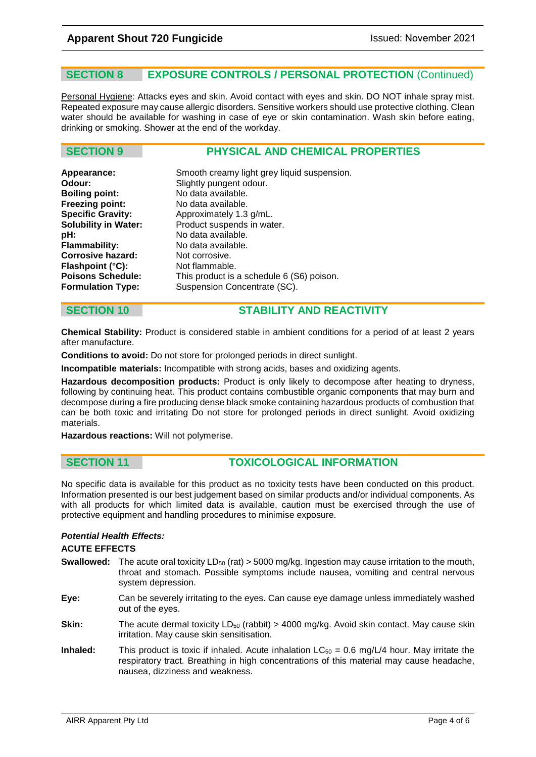### **SECTION 8 EXPOSURE CONTROLS / PERSONAL PROTECTION** (Continued)

Personal Hygiene: Attacks eyes and skin. Avoid contact with eyes and skin. DO NOT inhale spray mist. Repeated exposure may cause allergic disorders. Sensitive workers should use protective clothing. Clean water should be available for washing in case of eye or skin contamination. Wash skin before eating, drinking or smoking. Shower at the end of the workday.

### **SECTION 9 PHYSICAL AND CHEMICAL PROPERTIES**

| Appearance:                 | Smooth creamy light grey liquid suspension. |
|-----------------------------|---------------------------------------------|
| Odour:                      | Slightly pungent odour.                     |
| <b>Boiling point:</b>       | No data available.                          |
| <b>Freezing point:</b>      | No data available.                          |
| <b>Specific Gravity:</b>    | Approximately 1.3 g/mL.                     |
| <b>Solubility in Water:</b> | Product suspends in water.                  |
| pH:                         | No data available.                          |
| <b>Flammability:</b>        | No data available.                          |
| <b>Corrosive hazard:</b>    | Not corrosive.                              |
| Flashpoint (°C):            | Not flammable.                              |
| <b>Poisons Schedule:</b>    | This product is a schedule 6 (S6) poison.   |
| <b>Formulation Type:</b>    | Suspension Concentrate (SC).                |
|                             |                                             |

### **SECTION 10 STABILITY AND REACTIVITY**

**Chemical Stability:** Product is considered stable in ambient conditions for a period of at least 2 years after manufacture.

**Conditions to avoid:** Do not store for prolonged periods in direct sunlight.

**Incompatible materials:** Incompatible with strong acids, bases and oxidizing agents.

**Hazardous decomposition products:** Product is only likely to decompose after heating to dryness, following by continuing heat. This product contains combustible organic components that may burn and decompose during a fire producing dense black smoke containing hazardous products of combustion that can be both toxic and irritating Do not store for prolonged periods in direct sunlight. Avoid oxidizing materials.

**Hazardous reactions:** Will not polymerise.

#### **SECTION 11 TOXICOLOGICAL INFORMATION**

No specific data is available for this product as no toxicity tests have been conducted on this product. Information presented is our best judgement based on similar products and/or individual components. As with all products for which limited data is available, caution must be exercised through the use of protective equipment and handling procedures to minimise exposure.

#### *Potential Health Effects:*

#### **ACUTE EFFECTS**

- **Swallowed:** The acute oral toxicity LD<sub>50</sub> (rat) > 5000 mg/kg. Ingestion may cause irritation to the mouth, throat and stomach. Possible symptoms include nausea, vomiting and central nervous system depression.
- **Eye:** Can be severely irritating to the eyes. Can cause eye damage unless immediately washed out of the eyes.
- **Skin:** The acute dermal toxicity LD<sub>50</sub> (rabbit) > 4000 mg/kg. Avoid skin contact. May cause skin irritation. May cause skin sensitisation.
- **Inhaled:** This product is toxic if inhaled. Acute inhalation  $LC_{50} = 0.6$  mg/L/4 hour. May irritate the respiratory tract. Breathing in high concentrations of this material may cause headache, nausea, dizziness and weakness.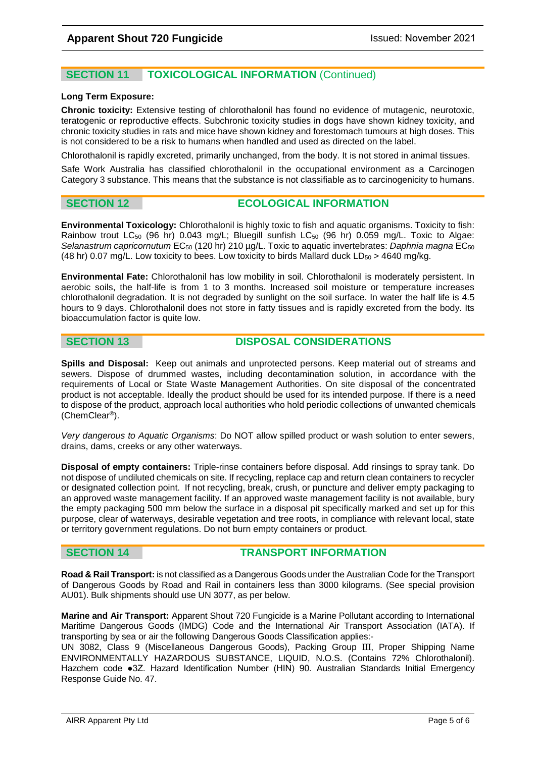### **SECTION 11 TOXICOLOGICAL INFORMATION** (Continued)

#### **Long Term Exposure:**

**Chronic toxicity:** Extensive testing of chlorothalonil has found no evidence of mutagenic, neurotoxic, teratogenic or reproductive effects. Subchronic toxicity studies in dogs have shown kidney toxicity, and chronic toxicity studies in rats and mice have shown kidney and forestomach tumours at high doses. This is not considered to be a risk to humans when handled and used as directed on the label.

Chlorothalonil is rapidly excreted, primarily unchanged, from the body. It is not stored in animal tissues.

Safe Work Australia has classified chlorothalonil in the occupational environment as a Carcinogen Category 3 substance. This means that the substance is not classifiable as to carcinogenicity to humans.

### **SECTION 12 ECOLOGICAL INFORMATION**

**Environmental Toxicology:** Chlorothalonil is highly toxic to fish and aquatic organisms. Toxicity to fish: Rainbow trout LC<sub>50</sub> (96 hr) 0.043 mg/L; Bluegill sunfish LC<sub>50</sub> (96 hr) 0.059 mg/L. Toxic to Algae: Selanastrum capricornutum EC<sub>50</sub> (120 hr) 210 µg/L. Toxic to aquatic invertebrates: *Daphnia magna* EC<sub>50</sub> (48 hr) 0.07 mg/L. Low toxicity to bees. Low toxicity to birds Mallard duck  $LD_{50}$  > 4640 mg/kg.

**Environmental Fate:** Chlorothalonil has low mobility in soil. Chlorothalonil is moderately persistent. In aerobic soils, the half-life is from 1 to 3 months. Increased soil moisture or temperature increases chlorothalonil degradation. It is not degraded by sunlight on the soil surface. In water the half life is 4.5 hours to 9 days. Chlorothalonil does not store in fatty tissues and is rapidly excreted from the body. Its bioaccumulation factor is quite low.

### **SECTION 13 DISPOSAL CONSIDERATIONS**

**Spills and Disposal:** Keep out animals and unprotected persons. Keep material out of streams and sewers. Dispose of drummed wastes, including decontamination solution, in accordance with the requirements of Local or State Waste Management Authorities. On site disposal of the concentrated product is not acceptable. Ideally the product should be used for its intended purpose. If there is a need to dispose of the product, approach local authorities who hold periodic collections of unwanted chemicals (ChemClear®).

*Very dangerous to Aquatic Organisms*: Do NOT allow spilled product or wash solution to enter sewers, drains, dams, creeks or any other waterways.

**Disposal of empty containers:** Triple-rinse containers before disposal. Add rinsings to spray tank. Do not dispose of undiluted chemicals on site. If recycling, replace cap and return clean containers to recycler or designated collection point. If not recycling, break, crush, or puncture and deliver empty packaging to an approved waste management facility. If an approved waste management facility is not available, bury the empty packaging 500 mm below the surface in a disposal pit specifically marked and set up for this purpose, clear of waterways, desirable vegetation and tree roots, in compliance with relevant local, state or territory government regulations. Do not burn empty containers or product.

### **SECTION 14 TRANSPORT INFORMATION**

**Road & Rail Transport:** is not classified as a Dangerous Goods under the Australian Code for the Transport of Dangerous Goods by Road and Rail in containers less than 3000 kilograms. (See special provision AU01). Bulk shipments should use UN 3077, as per below.

**Marine and Air Transport:** Apparent Shout 720 Fungicide is a Marine Pollutant according to International Maritime Dangerous Goods (IMDG) Code and the International Air Transport Association (IATA). If transporting by sea or air the following Dangerous Goods Classification applies:-

UN 3082, Class 9 (Miscellaneous Dangerous Goods), Packing Group III, Proper Shipping Name ENVIRONMENTALLY HAZARDOUS SUBSTANCE, LIQUID, N.O.S. (Contains 72% Chlorothalonil). Hazchem code ●3Z. Hazard Identification Number (HIN) 90. Australian Standards Initial Emergency Response Guide No. 47.